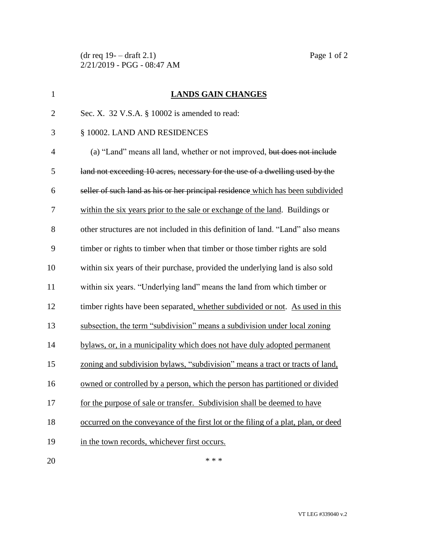$(\text{dr} \text{ req } 19 - \text{draff } 2.1)$  Page 1 of 2 2/21/2019 - PGG - 08:47 AM

| $\mathbf{1}$   | <b>LANDS GAIN CHANGES</b>                                                          |
|----------------|------------------------------------------------------------------------------------|
| $\overline{2}$ | Sec. X. 32 V.S.A. § 10002 is amended to read:                                      |
| 3              | § 10002. LAND AND RESIDENCES                                                       |
| $\overline{4}$ | (a) "Land" means all land, whether or not improved, but does not include           |
| 5              | land not exceeding 10 acres, necessary for the use of a dwelling used by the       |
| 6              | seller of such land as his or her principal residence which has been subdivided    |
| 7              | within the six years prior to the sale or exchange of the land. Buildings or       |
| 8              | other structures are not included in this definition of land. "Land" also means    |
| 9              | timber or rights to timber when that timber or those timber rights are sold        |
| 10             | within six years of their purchase, provided the underlying land is also sold      |
| 11             | within six years. "Underlying land" means the land from which timber or            |
| 12             | timber rights have been separated, whether subdivided or not. As used in this      |
| 13             | subsection, the term "subdivision" means a subdivision under local zoning          |
| 14             | bylaws, or, in a municipality which does not have duly adopted permanent           |
| 15             | zoning and subdivision bylaws, "subdivision" means a tract or tracts of land,      |
| 16             | owned or controlled by a person, which the person has partitioned or divided       |
| 17             | for the purpose of sale or transfer. Subdivision shall be deemed to have           |
| 18             | occurred on the conveyance of the first lot or the filing of a plat, plan, or deed |
| 19             | in the town records, whichever first occurs.                                       |
| 20             | * * *                                                                              |